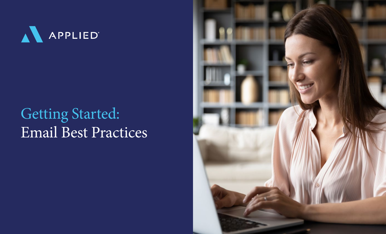

# Getting Started: Email Best Practices

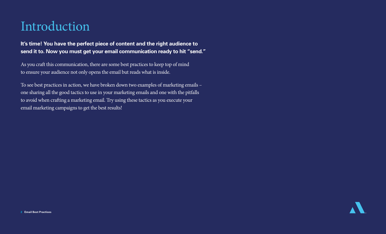# Introduction

## **It's time! You have the perfect piece of content and the right audience to send it to. Now you must get your email communication ready to hit "send."**

As you craft this communication, there are some best practices to keep top of mind to ensure your audience not only opens the email but reads what is inside.

To see best practices in action, we have broken down two examples of marketing emails – one sharing all the good tactics to use in your marketing emails and one with the pitfalls to avoid when crafting a marketing email. Try using these tactics as you execute your email marketing campaigns to get the best results!

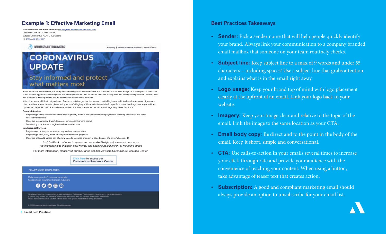### **Example 1: Effective Marketing Email**

From:**Insurance Solutions Advisors** isa.nee@insurancesolutionadvisors.com Date: Wed, Apr 29, 2020 at 4:46 PM Subject: Coronavirus (COVID-19) Update To: cmk927@gmail.com



At Insurance Solution Advisors, the safety and well-being of our team members and customers has and will always be our first priority. We would like to take this opportunity to wish you all well and hope that you and your loved ones are staying safe and healthy during this time. Please know that our team is working hard to ensure continuity of our service to all clients.

At this time, we would like to let you know of some recent changes that the Massachusetts Registry of Vehicles have implemented. If you are a client outside of Massachusetts, please visit your state's Registry of Motor Vehicles website for specific updates. MA Registry of Motor Vehicles Updates as of April 29, 2020. Please be sure to check the RMV website as specifics can change daily, Mass.Gov/RMV

#### **Essential Services**

- Registering a newly purchased vehicle as your primary mode of transportation for employment or obtaining medication and other necessary treatments
- Obtaining a commercial driver's license or commercial learner's permit
- Transferring your license or registration from another state

#### **Non-Essential Services**

- Registering a motorcycle as a secondary mode of transportation
- Registering a boat, utility trailer, or camper for recreation purposes
- Obtaining a REAL ID unless part of a new Mass ID issuance or an out of state transfer of a driver's license / ID

*As COVID-19 continues to spread and we make lifestyle adjustments in response the challenge is to maintain your mental and physical health in light of mounting stress* 

For more information, please visit our Insurance Solution Advisors Coronavirus Resource Center.



FOLLOW US ON SOCIAL MEDIA

Make sure you don't miss out on what's happening at Insurance Solution Advisors

 $00000$ 

Click here to unsubscribe or to change your Subscription Preferences. This information is provided for general information purposes only. It does not constitute professional advice and does not create a broker-client relationship<br>Please consult a Insurance Solution Advisor about your specific needs before taking any action.

@ 2020 Insurance Solution Advisors. All rights reserved.

#### **3 Email Best Practices**

### **Best Practices Takeaways**

- **• Sender:** Pick a sender name that will help people quickly identify your brand. Always link your communication to a company branded email mailbox that someone on your team routinely checks.
- **• Subject line:** Keep subject line to a max of 9 words and under 55 characters – including spaces! Use a subject line that grabs attention and explains what is in the email right away.
- **• Logo usage:** Keep your brand top of mind with logo placement clearly at the upfront of an email. Link your logo back to your website.
- **• Imagery:** Keep your image clear and relative to the topic of the email. Link the image to the same location as your CTA.
- **• Email body copy:** Be direct and to the point in the body of the email. Keep it short, simple and conversational.
- **• CTA:** Use calls-to-action in your emails several times to increase your click-through rate and provide your audience with the convenience of reaching your content. When using a button, take advantage of teaser text that creates action.
- **• Subscription:** A good and compliant marketing email should always provide an option to unsubscribe for your email list.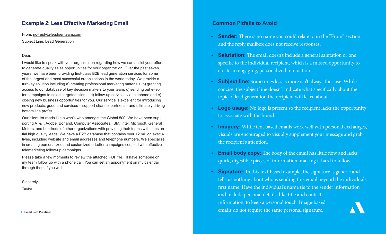## **Example 2: Less Effective Marketing Email Common Pitfalls to Avoid**

From: no-reply@leadgenteam.com

Subject Line: Lead Generation

### Dear,

I would like to speak with your organization regarding how we can assist your efforts to generate quality sales opportunities for your organization. Over the past seven years, we have been providing first-class B2B lead generation services for some of the largest and most successful organizations in the world today. We provide a turnkey solution including a) creating professional marketing materials, b) granting access to our database of key decision makers to your team, c) sending out e-letter campaigns to select targeted clients, d) follow-up services via telephone and e) closing new business opportunities for you. Our service is excellent for introducing new products, good and services – support channel partners – and ultimately driving bottom line profits.

Our client list reads like a who's who amongst the Global 500. We have been supporting AT&T, Adobe, Borland, Computer Associates, IBM, Intel, Microsoft, General Motors, and hundreds of other organizations with providing their teams with substantial high quality leads. We have a B2B database that contains over 12 million executives, including website and email addresses and telephone numbers. We specialize in creating personalized and customized e-Letter campaigns coupled with effective telemarketing follow-up campaigns.

Please take a few moments to review the attached PDF file. I'll have someone on my team follow up with a phone call. You can set an appointment on my calendar through them if you wish.

Sincerely,

**Taylor** 

- **• Sender:** There is no name you could relate to in the "From" section and the reply mailbox does not receive responses.
- **• Salutation:** The email doesn't include a general salutation or one specific to the individual recipient, which is a missed opportunity to create an engaging, personalized interaction.
- **• Subject line**: Sometimes less is more isn't always the case. While concise, the subject line doesn't indicate what specifically about the topic of lead generation the recipient will learn about.
- **• Logo usage:** No logo is present so the recipient lacks the opportunity to associate with the brand.
- **Imagery:** While text-based emails work well with personal exchanges, visuals are encouraged to visually supplement your message and grab the recipient's attention.
- **• Email body copy:** The body of the email has little flow and lacks quick, digestible pieces of information, making it hard to follow.
- **• Signature:** In this text-based example, the signature is generic and tells us nothing about who is sending this email beyond the individuals first name. Have the individual's name tie to the sender information and include personal details, like title and contact information, to keep a personal touch. Image-based emails do not require the same personal signature.